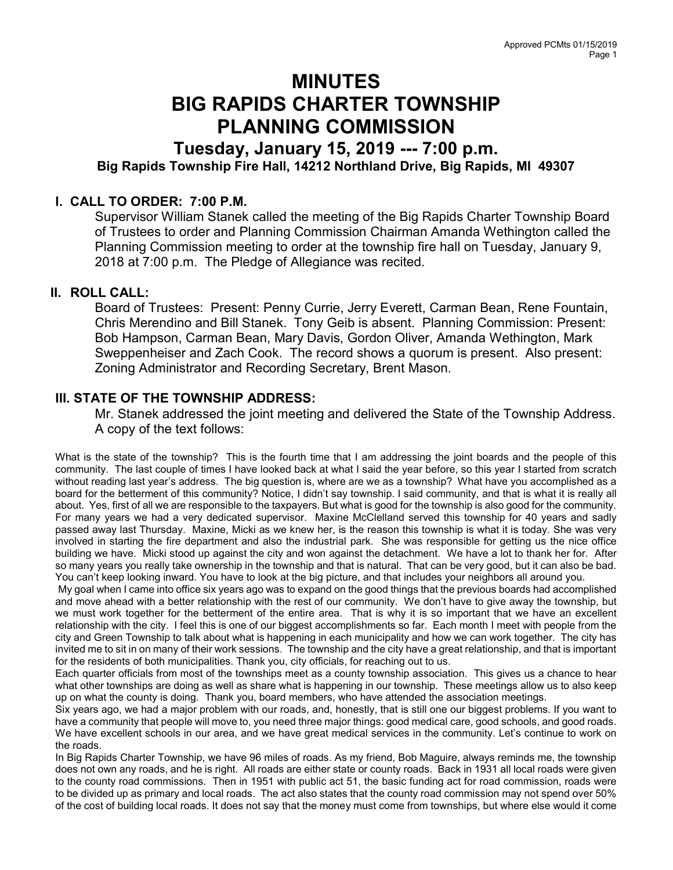# MINUTES BIG RAPIDS CHARTER TOWNSHIP PLANNING COMMISSION

# Tuesday, January 15, 2019 --- 7:00 p.m. Big Rapids Township Fire Hall, 14212 Northland Drive, Big Rapids, MI 49307

### I. CALL TO ORDER: 7:00 P.M.

Supervisor William Stanek called the meeting of the Big Rapids Charter Township Board of Trustees to order and Planning Commission Chairman Amanda Wethington called the Planning Commission meeting to order at the township fire hall on Tuesday, January 9, 2018 at 7:00 p.m. The Pledge of Allegiance was recited.

### II. ROLL CALL:

Board of Trustees: Present: Penny Currie, Jerry Everett, Carman Bean, Rene Fountain, Chris Merendino and Bill Stanek. Tony Geib is absent. Planning Commission: Present: Bob Hampson, Carman Bean, Mary Davis, Gordon Oliver, Amanda Wethington, Mark Sweppenheiser and Zach Cook. The record shows a quorum is present. Also present: Zoning Administrator and Recording Secretary, Brent Mason.

## III. STATE OF THE TOWNSHIP ADDRESS:

Mr. Stanek addressed the joint meeting and delivered the State of the Township Address. A copy of the text follows:

What is the state of the township? This is the fourth time that I am addressing the joint boards and the people of this community. The last couple of times I have looked back at what I said the year before, so this year I started from scratch without reading last year's address. The big question is, where are we as a township? What have you accomplished as a board for the betterment of this community? Notice, I didn't say township. I said community, and that is what it is really all about. Yes, first of all we are responsible to the taxpayers. But what is good for the township is also good for the community. For many years we had a very dedicated supervisor. Maxine McClelland served this township for 40 years and sadly passed away last Thursday. Maxine, Micki as we knew her, is the reason this township is what it is today. She was very involved in starting the fire department and also the industrial park. She was responsible for getting us the nice office building we have. Micki stood up against the city and won against the detachment. We have a lot to thank her for. After so many years you really take ownership in the township and that is natural. That can be very good, but it can also be bad. You can't keep looking inward. You have to look at the big picture, and that includes your neighbors all around you.

 My goal when I came into office six years ago was to expand on the good things that the previous boards had accomplished and move ahead with a better relationship with the rest of our community. We don't have to give away the township, but we must work together for the betterment of the entire area. That is why it is so important that we have an excellent relationship with the city. I feel this is one of our biggest accomplishments so far. Each month I meet with people from the city and Green Township to talk about what is happening in each municipality and how we can work together. The city has invited me to sit in on many of their work sessions. The township and the city have a great relationship, and that is important for the residents of both municipalities. Thank you, city officials, for reaching out to us.

Each quarter officials from most of the townships meet as a county township association. This gives us a chance to hear what other townships are doing as well as share what is happening in our township. These meetings allow us to also keep up on what the county is doing. Thank you, board members, who have attended the association meetings.

Six years ago, we had a major problem with our roads, and, honestly, that is still one our biggest problems. If you want to have a community that people will move to, you need three major things: good medical care, good schools, and good roads. We have excellent schools in our area, and we have great medical services in the community. Let's continue to work on the roads.

In Big Rapids Charter Township, we have 96 miles of roads. As my friend, Bob Maguire, always reminds me, the township does not own any roads, and he is right. All roads are either state or county roads. Back in 1931 all local roads were given to the county road commissions. Then in 1951 with public act 51, the basic funding act for road commission, roads were to be divided up as primary and local roads. The act also states that the county road commission may not spend over 50% of the cost of building local roads. It does not say that the money must come from townships, but where else would it come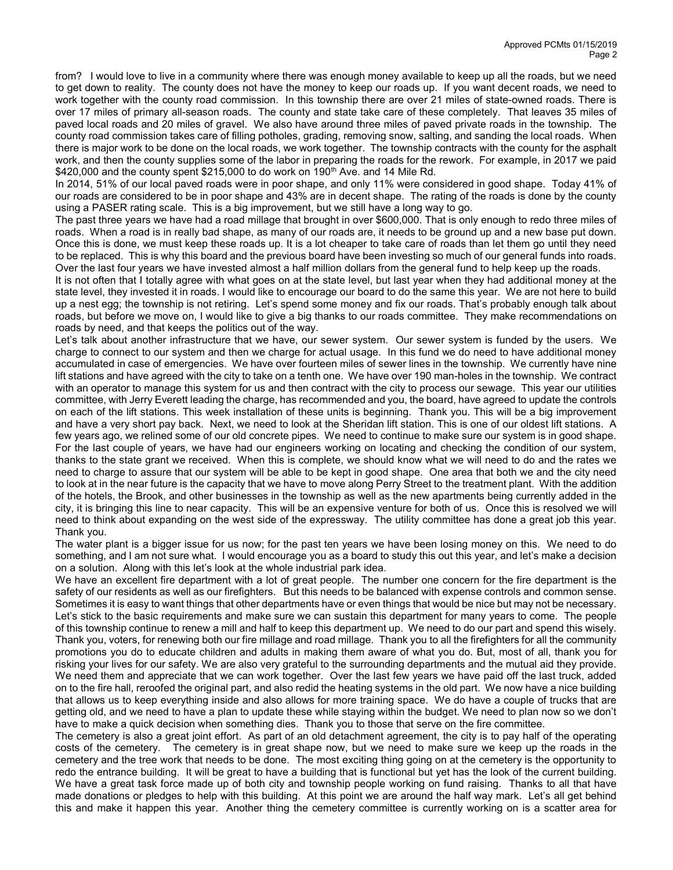from? I would love to live in a community where there was enough money available to keep up all the roads, but we need to get down to reality. The county does not have the money to keep our roads up. If you want decent roads, we need to work together with the county road commission. In this township there are over 21 miles of state-owned roads. There is over 17 miles of primary all-season roads. The county and state take care of these completely. That leaves 35 miles of paved local roads and 20 miles of gravel. We also have around three miles of paved private roads in the township. The county road commission takes care of filling potholes, grading, removing snow, salting, and sanding the local roads. When there is major work to be done on the local roads, we work together. The township contracts with the county for the asphalt work, and then the county supplies some of the labor in preparing the roads for the rework. For example, in 2017 we paid  $$420,000$  and the county spent  $$215,000$  to do work on 190<sup>th</sup> Ave. and 14 Mile Rd.

In 2014, 51% of our local paved roads were in poor shape, and only 11% were considered in good shape. Today 41% of our roads are considered to be in poor shape and 43% are in decent shape. The rating of the roads is done by the county using a PASER rating scale. This is a big improvement, but we still have a long way to go.

The past three years we have had a road millage that brought in over \$600,000. That is only enough to redo three miles of roads. When a road is in really bad shape, as many of our roads are, it needs to be ground up and a new base put down. Once this is done, we must keep these roads up. It is a lot cheaper to take care of roads than let them go until they need to be replaced. This is why this board and the previous board have been investing so much of our general funds into roads. Over the last four years we have invested almost a half million dollars from the general fund to help keep up the roads.

It is not often that I totally agree with what goes on at the state level, but last year when they had additional money at the state level, they invested it in roads. I would like to encourage our board to do the same this year. We are not here to build up a nest egg; the township is not retiring. Let's spend some money and fix our roads. That's probably enough talk about roads, but before we move on, I would like to give a big thanks to our roads committee. They make recommendations on roads by need, and that keeps the politics out of the way.

Let's talk about another infrastructure that we have, our sewer system. Our sewer system is funded by the users. We charge to connect to our system and then we charge for actual usage. In this fund we do need to have additional money accumulated in case of emergencies. We have over fourteen miles of sewer lines in the township. We currently have nine lift stations and have agreed with the city to take on a tenth one. We have over 190 man-holes in the township. We contract with an operator to manage this system for us and then contract with the city to process our sewage. This year our utilities committee, with Jerry Everett leading the charge, has recommended and you, the board, have agreed to update the controls on each of the lift stations. This week installation of these units is beginning. Thank you. This will be a big improvement and have a very short pay back. Next, we need to look at the Sheridan lift station. This is one of our oldest lift stations. A few years ago, we relined some of our old concrete pipes. We need to continue to make sure our system is in good shape. For the last couple of years, we have had our engineers working on locating and checking the condition of our system, thanks to the state grant we received. When this is complete, we should know what we will need to do and the rates we need to charge to assure that our system will be able to be kept in good shape. One area that both we and the city need to look at in the near future is the capacity that we have to move along Perry Street to the treatment plant. With the addition of the hotels, the Brook, and other businesses in the township as well as the new apartments being currently added in the city, it is bringing this line to near capacity. This will be an expensive venture for both of us. Once this is resolved we will need to think about expanding on the west side of the expressway. The utility committee has done a great job this year. Thank you.

The water plant is a bigger issue for us now; for the past ten years we have been losing money on this. We need to do something, and I am not sure what. I would encourage you as a board to study this out this year, and let's make a decision on a solution. Along with this let's look at the whole industrial park idea.

We have an excellent fire department with a lot of great people. The number one concern for the fire department is the safety of our residents as well as our firefighters. But this needs to be balanced with expense controls and common sense. Sometimes it is easy to want things that other departments have or even things that would be nice but may not be necessary. Let's stick to the basic requirements and make sure we can sustain this department for many years to come. The people of this township continue to renew a mill and half to keep this department up. We need to do our part and spend this wisely. Thank you, voters, for renewing both our fire millage and road millage. Thank you to all the firefighters for all the community promotions you do to educate children and adults in making them aware of what you do. But, most of all, thank you for risking your lives for our safety. We are also very grateful to the surrounding departments and the mutual aid they provide. We need them and appreciate that we can work together. Over the last few years we have paid off the last truck, added on to the fire hall, reroofed the original part, and also redid the heating systems in the old part. We now have a nice building that allows us to keep everything inside and also allows for more training space. We do have a couple of trucks that are getting old, and we need to have a plan to update these while staying within the budget. We need to plan now so we don't have to make a quick decision when something dies. Thank you to those that serve on the fire committee.

The cemetery is also a great joint effort. As part of an old detachment agreement, the city is to pay half of the operating costs of the cemetery. The cemetery is in great shape now, but we need to make sure we keep up the roads in the cemetery and the tree work that needs to be done. The most exciting thing going on at the cemetery is the opportunity to redo the entrance building. It will be great to have a building that is functional but yet has the look of the current building. We have a great task force made up of both city and township people working on fund raising. Thanks to all that have made donations or pledges to help with this building. At this point we are around the half way mark. Let's all get behind this and make it happen this year. Another thing the cemetery committee is currently working on is a scatter area for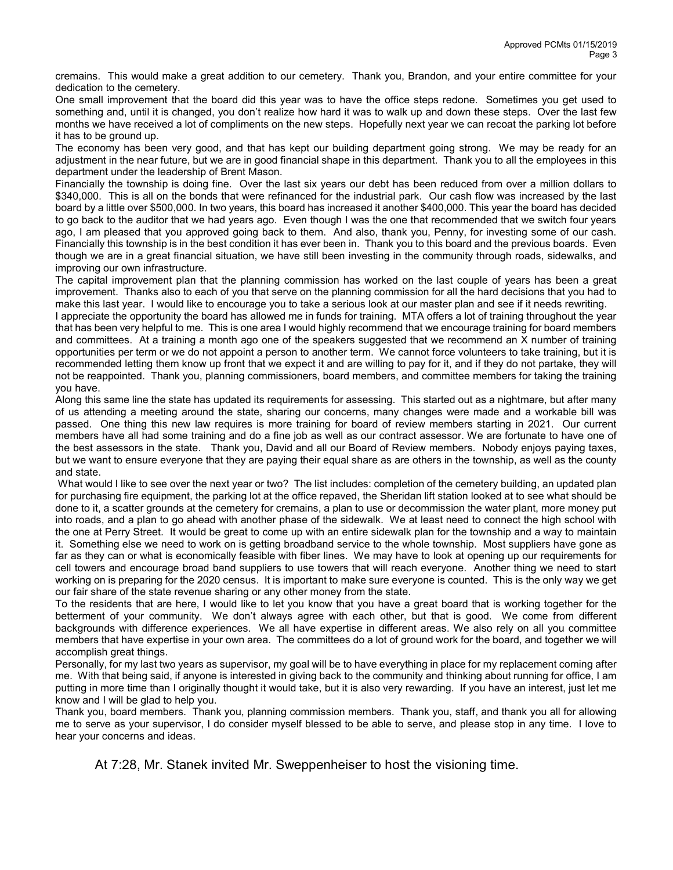cremains. This would make a great addition to our cemetery. Thank you, Brandon, and your entire committee for your dedication to the cemetery.

One small improvement that the board did this year was to have the office steps redone. Sometimes you get used to something and, until it is changed, you don't realize how hard it was to walk up and down these steps. Over the last few months we have received a lot of compliments on the new steps. Hopefully next year we can recoat the parking lot before it has to be ground up.

The economy has been very good, and that has kept our building department going strong. We may be ready for an adjustment in the near future, but we are in good financial shape in this department. Thank you to all the employees in this department under the leadership of Brent Mason.

Financially the township is doing fine. Over the last six years our debt has been reduced from over a million dollars to \$340,000. This is all on the bonds that were refinanced for the industrial park. Our cash flow was increased by the last board by a little over \$500,000. In two years, this board has increased it another \$400,000. This year the board has decided to go back to the auditor that we had years ago. Even though I was the one that recommended that we switch four years ago, I am pleased that you approved going back to them. And also, thank you, Penny, for investing some of our cash. Financially this township is in the best condition it has ever been in. Thank you to this board and the previous boards. Even though we are in a great financial situation, we have still been investing in the community through roads, sidewalks, and improving our own infrastructure.

The capital improvement plan that the planning commission has worked on the last couple of years has been a great improvement. Thanks also to each of you that serve on the planning commission for all the hard decisions that you had to make this last year. I would like to encourage you to take a serious look at our master plan and see if it needs rewriting.

I appreciate the opportunity the board has allowed me in funds for training. MTA offers a lot of training throughout the year that has been very helpful to me. This is one area I would highly recommend that we encourage training for board members and committees. At a training a month ago one of the speakers suggested that we recommend an X number of training opportunities per term or we do not appoint a person to another term. We cannot force volunteers to take training, but it is recommended letting them know up front that we expect it and are willing to pay for it, and if they do not partake, they will not be reappointed. Thank you, planning commissioners, board members, and committee members for taking the training you have.

Along this same line the state has updated its requirements for assessing. This started out as a nightmare, but after many of us attending a meeting around the state, sharing our concerns, many changes were made and a workable bill was passed. One thing this new law requires is more training for board of review members starting in 2021. Our current members have all had some training and do a fine job as well as our contract assessor. We are fortunate to have one of the best assessors in the state. Thank you, David and all our Board of Review members. Nobody enjoys paying taxes, but we want to ensure everyone that they are paying their equal share as are others in the township, as well as the county and state.

What would I like to see over the next year or two? The list includes: completion of the cemetery building, an updated plan for purchasing fire equipment, the parking lot at the office repaved, the Sheridan lift station looked at to see what should be done to it, a scatter grounds at the cemetery for cremains, a plan to use or decommission the water plant, more money put into roads, and a plan to go ahead with another phase of the sidewalk. We at least need to connect the high school with the one at Perry Street. It would be great to come up with an entire sidewalk plan for the township and a way to maintain it. Something else we need to work on is getting broadband service to the whole township. Most suppliers have gone as far as they can or what is economically feasible with fiber lines. We may have to look at opening up our requirements for cell towers and encourage broad band suppliers to use towers that will reach everyone. Another thing we need to start working on is preparing for the 2020 census. It is important to make sure everyone is counted. This is the only way we get our fair share of the state revenue sharing or any other money from the state.

To the residents that are here, I would like to let you know that you have a great board that is working together for the betterment of your community. We don't always agree with each other, but that is good. We come from different backgrounds with difference experiences. We all have expertise in different areas. We also rely on all you committee members that have expertise in your own area. The committees do a lot of ground work for the board, and together we will accomplish great things.

Personally, for my last two years as supervisor, my goal will be to have everything in place for my replacement coming after me. With that being said, if anyone is interested in giving back to the community and thinking about running for office, I am putting in more time than I originally thought it would take, but it is also very rewarding. If you have an interest, just let me know and I will be glad to help you.

Thank you, board members. Thank you, planning commission members. Thank you, staff, and thank you all for allowing me to serve as your supervisor, I do consider myself blessed to be able to serve, and please stop in any time. I love to hear your concerns and ideas.

At 7:28, Mr. Stanek invited Mr. Sweppenheiser to host the visioning time.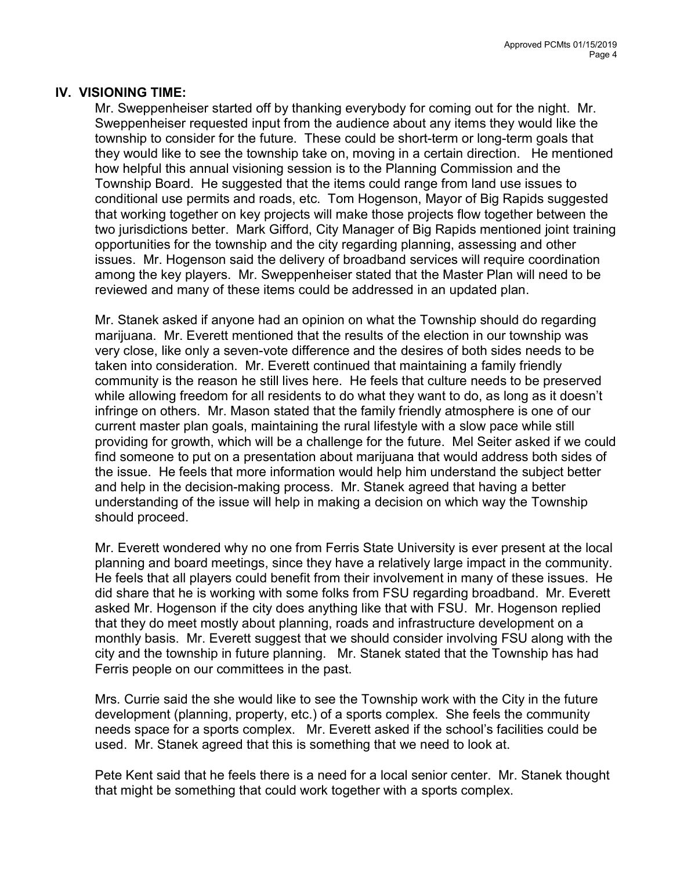### IV. VISIONING TIME:

Mr. Sweppenheiser started off by thanking everybody for coming out for the night. Mr. Sweppenheiser requested input from the audience about any items they would like the township to consider for the future. These could be short-term or long-term goals that they would like to see the township take on, moving in a certain direction. He mentioned how helpful this annual visioning session is to the Planning Commission and the Township Board. He suggested that the items could range from land use issues to conditional use permits and roads, etc. Tom Hogenson, Mayor of Big Rapids suggested that working together on key projects will make those projects flow together between the two jurisdictions better. Mark Gifford, City Manager of Big Rapids mentioned joint training opportunities for the township and the city regarding planning, assessing and other issues. Mr. Hogenson said the delivery of broadband services will require coordination among the key players. Mr. Sweppenheiser stated that the Master Plan will need to be reviewed and many of these items could be addressed in an updated plan.

Mr. Stanek asked if anyone had an opinion on what the Township should do regarding marijuana. Mr. Everett mentioned that the results of the election in our township was very close, like only a seven-vote difference and the desires of both sides needs to be taken into consideration. Mr. Everett continued that maintaining a family friendly community is the reason he still lives here. He feels that culture needs to be preserved while allowing freedom for all residents to do what they want to do, as long as it doesn't infringe on others. Mr. Mason stated that the family friendly atmosphere is one of our current master plan goals, maintaining the rural lifestyle with a slow pace while still providing for growth, which will be a challenge for the future. Mel Seiter asked if we could find someone to put on a presentation about marijuana that would address both sides of the issue. He feels that more information would help him understand the subject better and help in the decision-making process. Mr. Stanek agreed that having a better understanding of the issue will help in making a decision on which way the Township should proceed.

Mr. Everett wondered why no one from Ferris State University is ever present at the local planning and board meetings, since they have a relatively large impact in the community. He feels that all players could benefit from their involvement in many of these issues. He did share that he is working with some folks from FSU regarding broadband. Mr. Everett asked Mr. Hogenson if the city does anything like that with FSU. Mr. Hogenson replied that they do meet mostly about planning, roads and infrastructure development on a monthly basis. Mr. Everett suggest that we should consider involving FSU along with the city and the township in future planning. Mr. Stanek stated that the Township has had Ferris people on our committees in the past.

Mrs. Currie said the she would like to see the Township work with the City in the future development (planning, property, etc.) of a sports complex. She feels the community needs space for a sports complex. Mr. Everett asked if the school's facilities could be used. Mr. Stanek agreed that this is something that we need to look at.

Pete Kent said that he feels there is a need for a local senior center. Mr. Stanek thought that might be something that could work together with a sports complex.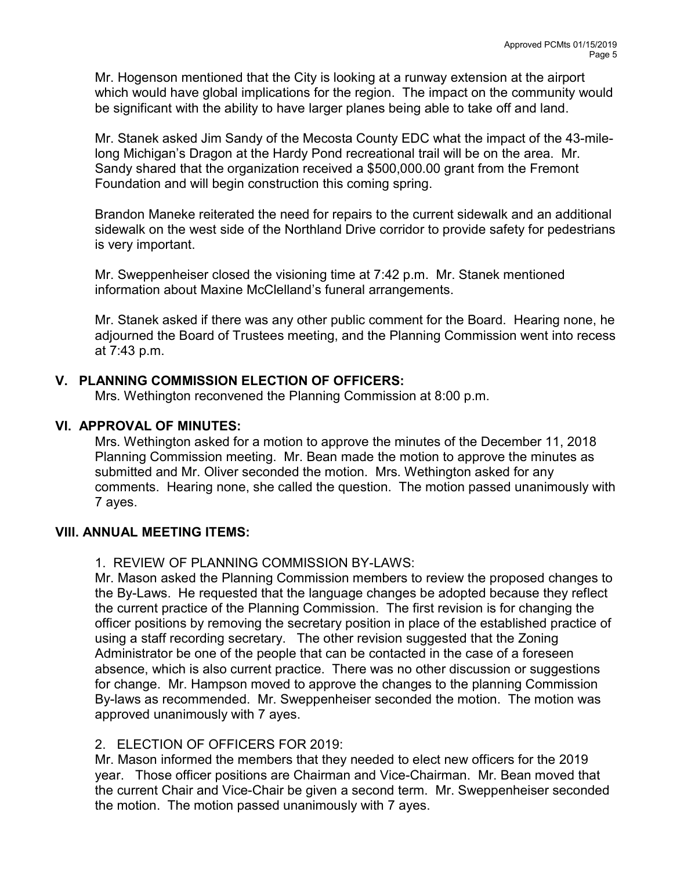Mr. Hogenson mentioned that the City is looking at a runway extension at the airport which would have global implications for the region. The impact on the community would be significant with the ability to have larger planes being able to take off and land.

Mr. Stanek asked Jim Sandy of the Mecosta County EDC what the impact of the 43-milelong Michigan's Dragon at the Hardy Pond recreational trail will be on the area. Mr. Sandy shared that the organization received a \$500,000.00 grant from the Fremont Foundation and will begin construction this coming spring.

Brandon Maneke reiterated the need for repairs to the current sidewalk and an additional sidewalk on the west side of the Northland Drive corridor to provide safety for pedestrians is very important.

Mr. Sweppenheiser closed the visioning time at 7:42 p.m. Mr. Stanek mentioned information about Maxine McClelland's funeral arrangements.

Mr. Stanek asked if there was any other public comment for the Board. Hearing none, he adjourned the Board of Trustees meeting, and the Planning Commission went into recess at 7:43 p.m.

## V. PLANNING COMMISSION ELECTION OF OFFICERS:

Mrs. Wethington reconvened the Planning Commission at 8:00 p.m.

## VI. APPROVAL OF MINUTES:

Mrs. Wethington asked for a motion to approve the minutes of the December 11, 2018 Planning Commission meeting. Mr. Bean made the motion to approve the minutes as submitted and Mr. Oliver seconded the motion. Mrs. Wethington asked for any comments. Hearing none, she called the question. The motion passed unanimously with 7 ayes.

### VIII. ANNUAL MEETING ITEMS:

1. REVIEW OF PLANNING COMMISSION BY-LAWS:

Mr. Mason asked the Planning Commission members to review the proposed changes to the By-Laws. He requested that the language changes be adopted because they reflect the current practice of the Planning Commission. The first revision is for changing the officer positions by removing the secretary position in place of the established practice of using a staff recording secretary. The other revision suggested that the Zoning Administrator be one of the people that can be contacted in the case of a foreseen absence, which is also current practice. There was no other discussion or suggestions for change. Mr. Hampson moved to approve the changes to the planning Commission By-laws as recommended. Mr. Sweppenheiser seconded the motion. The motion was approved unanimously with 7 ayes.

### 2. ELECTION OF OFFICERS FOR 2019:

Mr. Mason informed the members that they needed to elect new officers for the 2019 year. Those officer positions are Chairman and Vice-Chairman. Mr. Bean moved that the current Chair and Vice-Chair be given a second term. Mr. Sweppenheiser seconded the motion. The motion passed unanimously with 7 ayes.